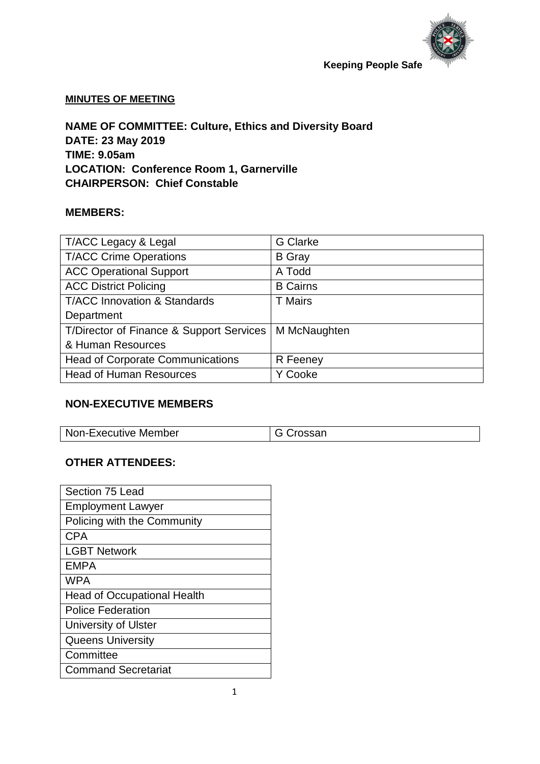

#### **MINUTES OF MEETING**

**NAME OF COMMITTEE: Culture, Ethics and Diversity Board DATE: 23 May 2019 TIME: 9.05am LOCATION: Conference Room 1, Garnerville CHAIRPERSON: Chief Constable**

#### **MEMBERS:**

| T/ACC Legacy & Legal                     | <b>G</b> Clarke |
|------------------------------------------|-----------------|
| <b>T/ACC Crime Operations</b>            | <b>B</b> Gray   |
| <b>ACC Operational Support</b>           | A Todd          |
| <b>ACC District Policing</b>             | <b>B</b> Cairns |
| <b>T/ACC Innovation &amp; Standards</b>  | <b>T</b> Mairs  |
| Department                               |                 |
| T/Director of Finance & Support Services | M McNaughten    |
| & Human Resources                        |                 |
| <b>Head of Corporate Communications</b>  | R Feeney        |
| <b>Head of Human Resources</b>           | Y Cooke         |

### **NON-EXECUTIVE MEMBERS**

| Non-Executive Member | 'roccon |
|----------------------|---------|

#### **OTHER ATTENDEES:**

| Section 75 Lead                    |
|------------------------------------|
| <b>Employment Lawyer</b>           |
| Policing with the Community        |
| CPA                                |
| <b>LGBT Network</b>                |
| <b>EMPA</b>                        |
| <b>WPA</b>                         |
| <b>Head of Occupational Health</b> |
| <b>Police Federation</b>           |
| <b>University of Ulster</b>        |
| <b>Queens University</b>           |
| Committee                          |
| <b>Command Secretariat</b>         |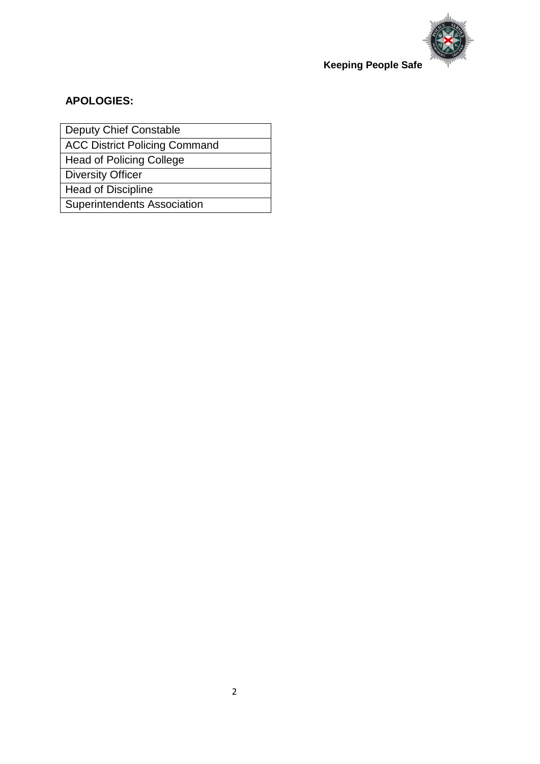

### **APOLOGIES:**

Deputy Chief Constable

ACC District Policing Command

Head of Policing College

Diversity Officer

Head of Discipline

Superintendents Association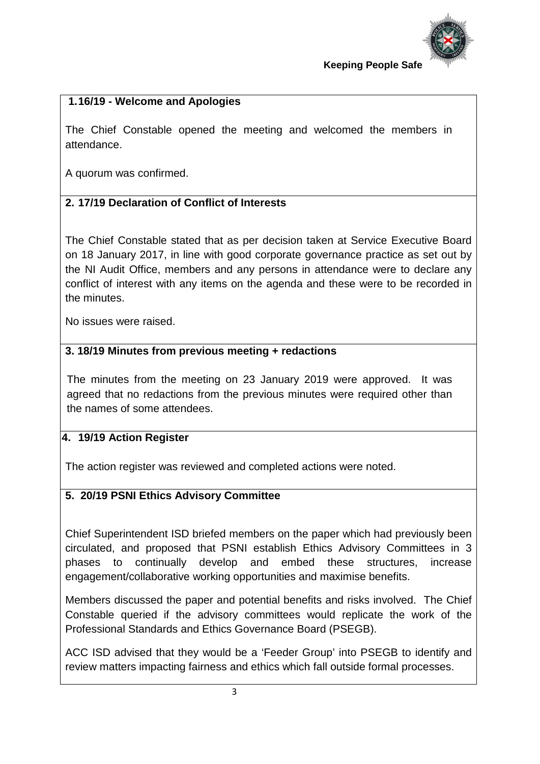

## **1.16/19 - Welcome and Apologies**

The Chief Constable opened the meeting and welcomed the members in attendance.

A quorum was confirmed.

## **2. 17/19 Declaration of Conflict of Interests**

The Chief Constable stated that as per decision taken at Service Executive Board on 18 January 2017, in line with good corporate governance practice as set out by the NI Audit Office, members and any persons in attendance were to declare any conflict of interest with any items on the agenda and these were to be recorded in the minutes.

No issues were raised.

### **3. 18/19 Minutes from previous meeting + redactions**

The minutes from the meeting on 23 January 2019 were approved. It was agreed that no redactions from the previous minutes were required other than the names of some attendees.

### **4. 19/19 Action Register**

The action register was reviewed and completed actions were noted.

### **5. 20/19 PSNI Ethics Advisory Committee**

Chief Superintendent ISD briefed members on the paper which had previously been circulated, and proposed that PSNI establish Ethics Advisory Committees in 3 phases to continually develop and embed these structures, increase engagement/collaborative working opportunities and maximise benefits.

Members discussed the paper and potential benefits and risks involved. The Chief Constable queried if the advisory committees would replicate the work of the Professional Standards and Ethics Governance Board (PSEGB).

ACC ISD advised that they would be a 'Feeder Group' into PSEGB to identify and review matters impacting fairness and ethics which fall outside formal processes.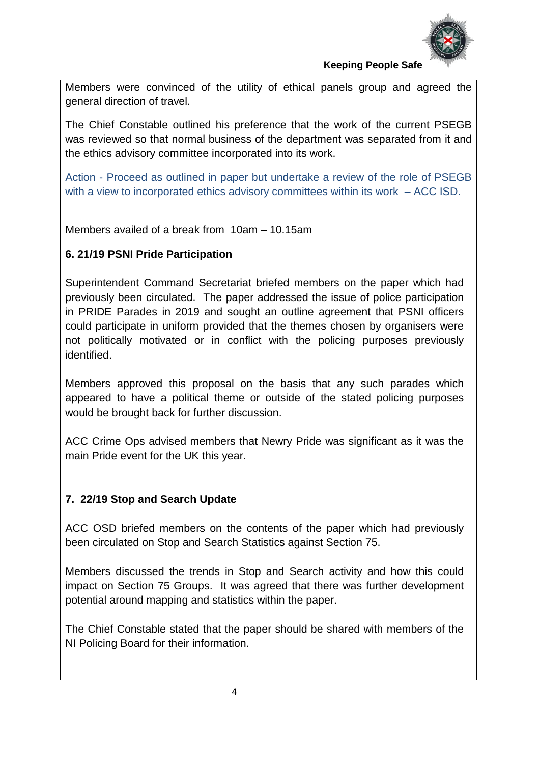

Members were convinced of the utility of ethical panels group and agreed the general direction of travel.

The Chief Constable outlined his preference that the work of the current PSEGB was reviewed so that normal business of the department was separated from it and the ethics advisory committee incorporated into its work.

Action - Proceed as outlined in paper but undertake a review of the role of PSEGB with a view to incorporated ethics advisory committees within its work – ACC ISD.

Members availed of a break from 10am – 10.15am

## **6. 21/19 PSNI Pride Participation**

Superintendent Command Secretariat briefed members on the paper which had previously been circulated. The paper addressed the issue of police participation in PRIDE Parades in 2019 and sought an outline agreement that PSNI officers could participate in uniform provided that the themes chosen by organisers were not politically motivated or in conflict with the policing purposes previously identified.

Members approved this proposal on the basis that any such parades which appeared to have a political theme or outside of the stated policing purposes would be brought back for further discussion.

ACC Crime Ops advised members that Newry Pride was significant as it was the main Pride event for the UK this year.

## **7. 22/19 Stop and Search Update**

ACC OSD briefed members on the contents of the paper which had previously been circulated on Stop and Search Statistics against Section 75.

Members discussed the trends in Stop and Search activity and how this could impact on Section 75 Groups. It was agreed that there was further development potential around mapping and statistics within the paper.

The Chief Constable stated that the paper should be shared with members of the NI Policing Board for their information.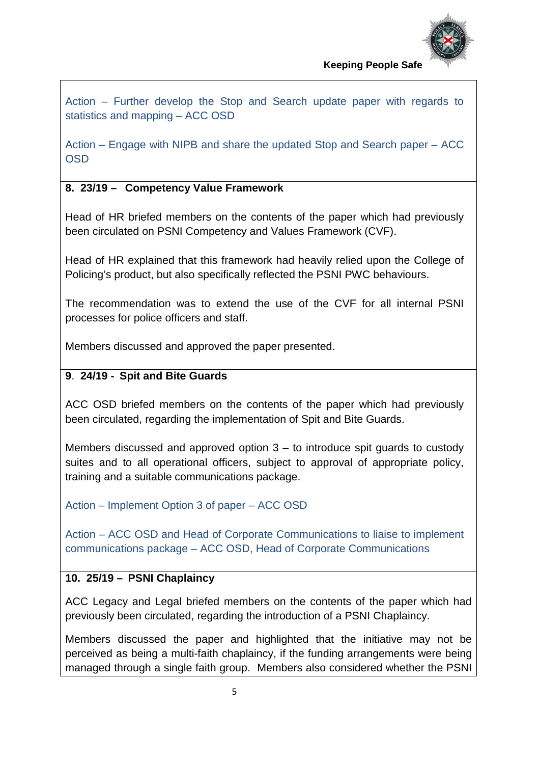

Action – Further develop the Stop and Search update paper with regards to statistics and mapping – ACC OSD

Action – Engage with NIPB and share the updated Stop and Search paper – ACC OSD

## **8. 23/19 – Competency Value Framework**

Head of HR briefed members on the contents of the paper which had previously been circulated on PSNI Competency and Values Framework (CVF).

Head of HR explained that this framework had heavily relied upon the College of Policing's product, but also specifically reflected the PSNI PWC behaviours.

The recommendation was to extend the use of the CVF for all internal PSNI processes for police officers and staff.

Members discussed and approved the paper presented.

## **9**. **24/19 - Spit and Bite Guards**

ACC OSD briefed members on the contents of the paper which had previously been circulated, regarding the implementation of Spit and Bite Guards.

Members discussed and approved option 3 – to introduce spit guards to custody suites and to all operational officers, subject to approval of appropriate policy, training and a suitable communications package.

Action – Implement Option 3 of paper – ACC OSD

Action – ACC OSD and Head of Corporate Communications to liaise to implement communications package – ACC OSD, Head of Corporate Communications

## **10. 25/19 – PSNI Chaplaincy**

ACC Legacy and Legal briefed members on the contents of the paper which had previously been circulated, regarding the introduction of a PSNI Chaplaincy.

Members discussed the paper and highlighted that the initiative may not be perceived as being a multi-faith chaplaincy, if the funding arrangements were being managed through a single faith group. Members also considered whether the PSNI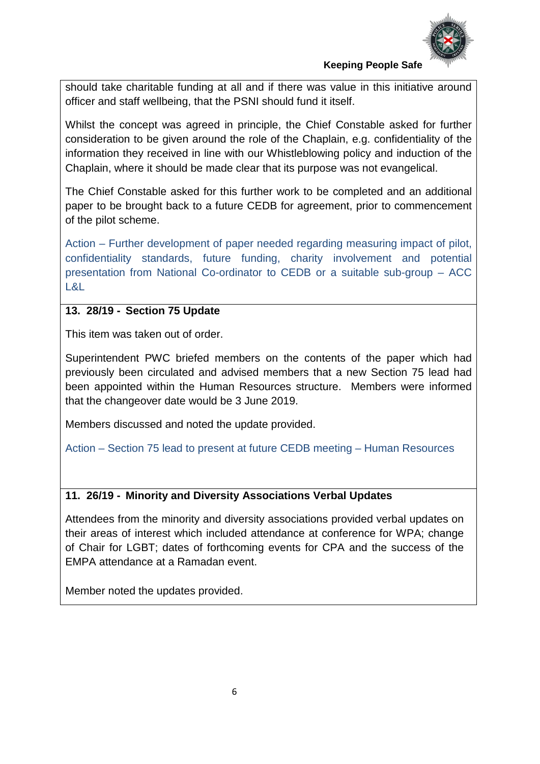

should take charitable funding at all and if there was value in this initiative around officer and staff wellbeing, that the PSNI should fund it itself.

Whilst the concept was agreed in principle, the Chief Constable asked for further consideration to be given around the role of the Chaplain, e.g. confidentiality of the information they received in line with our Whistleblowing policy and induction of the Chaplain, where it should be made clear that its purpose was not evangelical.

The Chief Constable asked for this further work to be completed and an additional paper to be brought back to a future CEDB for agreement, prior to commencement of the pilot scheme.

Action – Further development of paper needed regarding measuring impact of pilot, confidentiality standards, future funding, charity involvement and potential presentation from National Co-ordinator to CEDB or a suitable sub-group – ACC  $\overline{|\mathcal{R}|}$ 

#### **13. 28/19 - Section 75 Update**

This item was taken out of order.

Superintendent PWC briefed members on the contents of the paper which had previously been circulated and advised members that a new Section 75 lead had been appointed within the Human Resources structure. Members were informed that the changeover date would be 3 June 2019.

Members discussed and noted the update provided.

Action – Section 75 lead to present at future CEDB meeting – Human Resources

#### **11. 26/19 - Minority and Diversity Associations Verbal Updates**

Attendees from the minority and diversity associations provided verbal updates on their areas of interest which included attendance at conference for WPA; change of Chair for LGBT; dates of forthcoming events for CPA and the success of the EMPA attendance at a Ramadan event.

Member noted the updates provided.